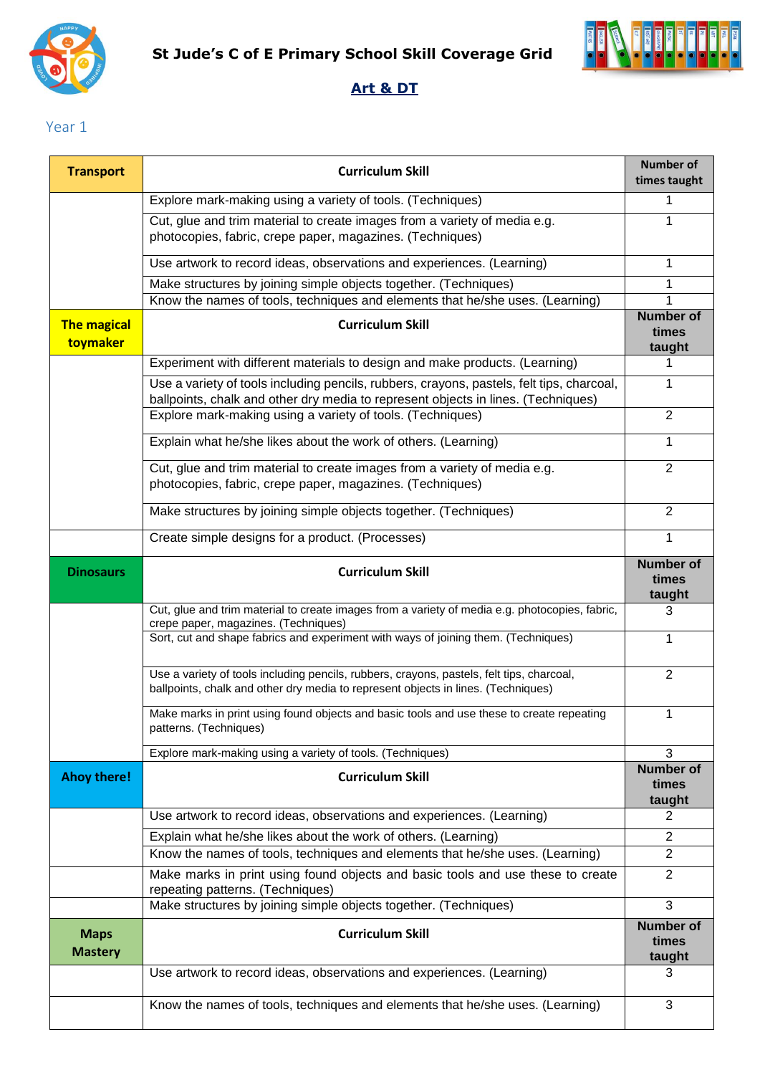



### **Art & DT**

Year 1

| <b>Transport</b>               | <b>Curriculum Skill</b>                                                                                                                                                        | <b>Number of</b><br>times taught    |
|--------------------------------|--------------------------------------------------------------------------------------------------------------------------------------------------------------------------------|-------------------------------------|
|                                | Explore mark-making using a variety of tools. (Techniques)                                                                                                                     | 1                                   |
|                                | Cut, glue and trim material to create images from a variety of media e.g.<br>photocopies, fabric, crepe paper, magazines. (Techniques)                                         | 1                                   |
|                                | Use artwork to record ideas, observations and experiences. (Learning)                                                                                                          | 1                                   |
|                                | Make structures by joining simple objects together. (Techniques)                                                                                                               | 1                                   |
|                                | Know the names of tools, techniques and elements that he/she uses. (Learning)                                                                                                  | <b>Number of</b>                    |
| <b>The magical</b><br>toymaker | <b>Curriculum Skill</b>                                                                                                                                                        | times<br>taught                     |
|                                | Experiment with different materials to design and make products. (Learning)                                                                                                    | 1                                   |
|                                | Use a variety of tools including pencils, rubbers, crayons, pastels, felt tips, charcoal,<br>ballpoints, chalk and other dry media to represent objects in lines. (Techniques) | 1                                   |
|                                | Explore mark-making using a variety of tools. (Techniques)                                                                                                                     | $\overline{2}$                      |
|                                | Explain what he/she likes about the work of others. (Learning)                                                                                                                 | 1                                   |
|                                | Cut, glue and trim material to create images from a variety of media e.g.<br>photocopies, fabric, crepe paper, magazines. (Techniques)                                         | $\overline{2}$                      |
|                                | Make structures by joining simple objects together. (Techniques)                                                                                                               | $\overline{2}$                      |
|                                | Create simple designs for a product. (Processes)                                                                                                                               | 1                                   |
| <b>Dinosaurs</b>               | <b>Curriculum Skill</b>                                                                                                                                                        | <b>Number of</b><br>times<br>taught |
|                                | Cut, glue and trim material to create images from a variety of media e.g. photocopies, fabric,<br>crepe paper, magazines. (Techniques)                                         | 3                                   |
|                                | Sort, cut and shape fabrics and experiment with ways of joining them. (Techniques)                                                                                             | 1                                   |
|                                | Use a variety of tools including pencils, rubbers, crayons, pastels, felt tips, charcoal,<br>ballpoints, chalk and other dry media to represent objects in lines. (Techniques) | $\overline{2}$                      |
|                                | Make marks in print using found objects and basic tools and use these to create repeating<br>patterns. (Techniques)                                                            | 1                                   |
|                                | Explore mark-making using a variety of tools. (Techniques)                                                                                                                     | 3                                   |
| <b>Ahoy there!</b>             | <b>Curriculum Skill</b>                                                                                                                                                        | <b>Number of</b><br>times<br>taught |
|                                | Use artwork to record ideas, observations and experiences. (Learning)                                                                                                          | $\overline{2}$                      |
|                                | Explain what he/she likes about the work of others. (Learning)                                                                                                                 | $\overline{2}$                      |
|                                | Know the names of tools, techniques and elements that he/she uses. (Learning)                                                                                                  | $\overline{2}$                      |
|                                | Make marks in print using found objects and basic tools and use these to create<br>repeating patterns. (Techniques)                                                            | $\overline{2}$                      |
|                                | Make structures by joining simple objects together. (Techniques)                                                                                                               | 3                                   |
| <b>Maps</b><br><b>Mastery</b>  | <b>Curriculum Skill</b>                                                                                                                                                        | <b>Number of</b><br>times<br>taught |
|                                | Use artwork to record ideas, observations and experiences. (Learning)                                                                                                          | 3                                   |
|                                | Know the names of tools, techniques and elements that he/she uses. (Learning)                                                                                                  | 3                                   |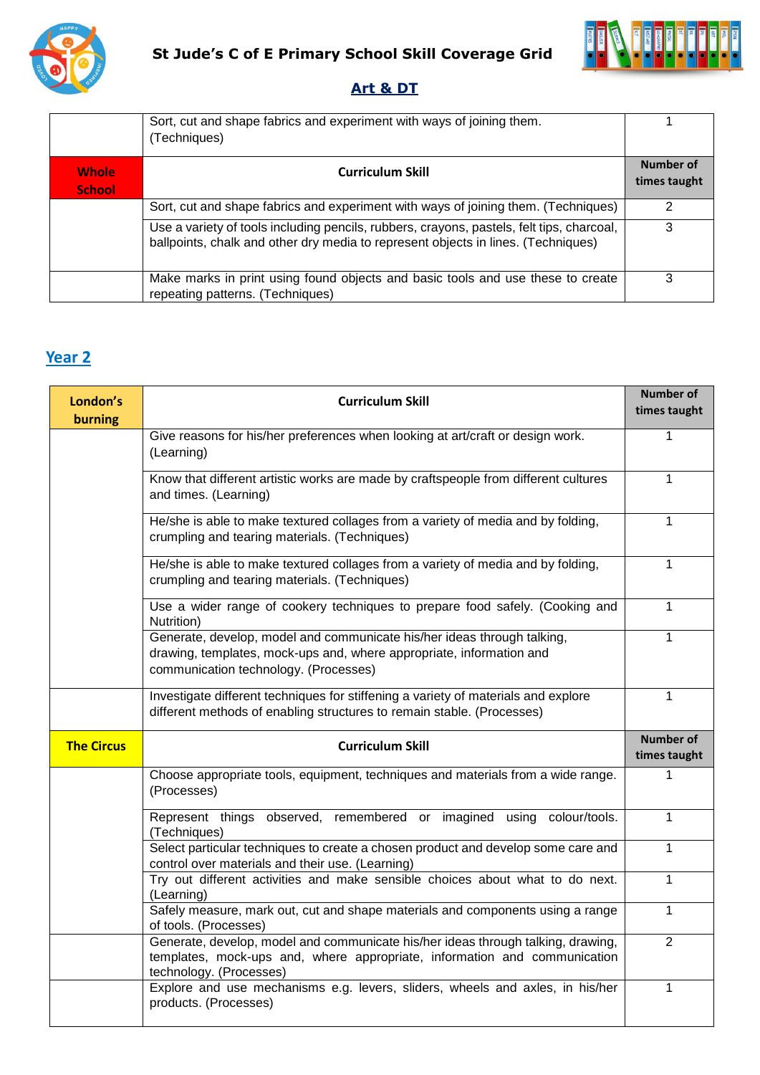



#### **Art & DT**

|                               | Sort, cut and shape fabrics and experiment with ways of joining them.<br>(Techniques)                                                                                          |                           |
|-------------------------------|--------------------------------------------------------------------------------------------------------------------------------------------------------------------------------|---------------------------|
| <b>Whole</b><br><b>School</b> | <b>Curriculum Skill</b>                                                                                                                                                        | Number of<br>times taught |
|                               | Sort, cut and shape fabrics and experiment with ways of joining them. (Techniques)                                                                                             | っ                         |
|                               | Use a variety of tools including pencils, rubbers, crayons, pastels, felt tips, charcoal,<br>ballpoints, chalk and other dry media to represent objects in lines. (Techniques) | 3                         |
|                               | Make marks in print using found objects and basic tools and use these to create<br>repeating patterns. (Techniques)                                                            | 3                         |

## **Year 2**

| London's<br>burning | <b>Curriculum Skill</b>                                                                                                                                                                  | <b>Number of</b><br>times taught |
|---------------------|------------------------------------------------------------------------------------------------------------------------------------------------------------------------------------------|----------------------------------|
|                     | Give reasons for his/her preferences when looking at art/craft or design work.<br>(Learning)                                                                                             | 1                                |
|                     | Know that different artistic works are made by craftspeople from different cultures<br>and times. (Learning)                                                                             | 1                                |
|                     | He/she is able to make textured collages from a variety of media and by folding,<br>crumpling and tearing materials. (Techniques)                                                        | 1                                |
|                     | He/she is able to make textured collages from a variety of media and by folding,<br>crumpling and tearing materials. (Techniques)                                                        | $\mathbf{1}$                     |
|                     | Use a wider range of cookery techniques to prepare food safely. (Cooking and<br>Nutrition)                                                                                               | $\mathbf{1}$                     |
|                     | Generate, develop, model and communicate his/her ideas through talking,<br>drawing, templates, mock-ups and, where appropriate, information and<br>communication technology. (Processes) | 1                                |
|                     | Investigate different techniques for stiffening a variety of materials and explore<br>different methods of enabling structures to remain stable. (Processes)                             | 1                                |
|                     |                                                                                                                                                                                          |                                  |
| <b>The Circus</b>   | <b>Curriculum Skill</b>                                                                                                                                                                  | <b>Number of</b><br>times taught |
|                     | Choose appropriate tools, equipment, techniques and materials from a wide range.<br>(Processes)                                                                                          | 1                                |
|                     | Represent things observed, remembered or imagined using colour/tools.<br>(Techniques)                                                                                                    | $\mathbf{1}$                     |
|                     | Select particular techniques to create a chosen product and develop some care and<br>control over materials and their use. (Learning)                                                    | 1                                |
|                     | Try out different activities and make sensible choices about what to do next.<br>(Learning)                                                                                              | 1                                |
|                     | Safely measure, mark out, cut and shape materials and components using a range<br>of tools. (Processes)                                                                                  | 1                                |
|                     | Generate, develop, model and communicate his/her ideas through talking, drawing,<br>templates, mock-ups and, where appropriate, information and communication<br>technology. (Processes) | $\overline{2}$                   |